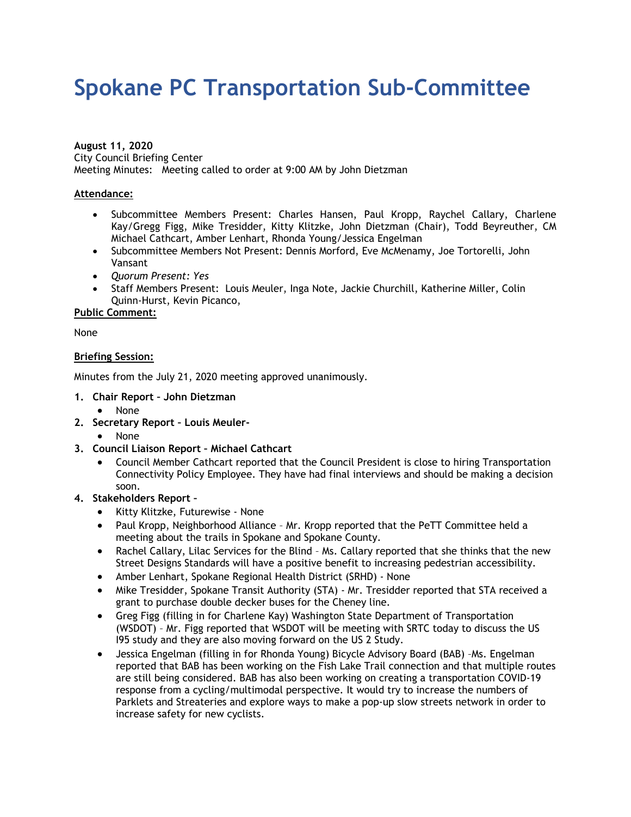# **Spokane PC Transportation Sub-Committee**

**August 11, 2020** City Council Briefing Center Meeting Minutes: Meeting called to order at 9:00 AM by John Dietzman

# **Attendance:**

- Subcommittee Members Present: Charles Hansen, Paul Kropp, Raychel Callary, Charlene Kay/Gregg Figg, Mike Tresidder, Kitty Klitzke, John Dietzman (Chair), Todd Beyreuther, CM Michael Cathcart, Amber Lenhart, Rhonda Young/Jessica Engelman
- Subcommittee Members Not Present: Dennis Morford, Eve McMenamy, Joe Tortorelli, John Vansant
- *Quorum Present: Yes*
- Staff Members Present: Louis Meuler, Inga Note, Jackie Churchill, Katherine Miller, Colin Quinn-Hurst, Kevin Picanco,

**Public Comment:**

None

#### **Briefing Session:**

Minutes from the July 21, 2020 meeting approved unanimously.

- **1. Chair Report John Dietzman**
	- None
- **2. Secretary Report Louis Meuler-**
	- None
- **3. Council Liaison Report Michael Cathcart**
	- Council Member Cathcart reported that the Council President is close to hiring Transportation Connectivity Policy Employee. They have had final interviews and should be making a decision soon.

# **4. Stakeholders Report –**

- Kitty Klitzke, Futurewise None
- Paul Kropp, Neighborhood Alliance Mr. Kropp reported that the PeTT Committee held a meeting about the trails in Spokane and Spokane County.
- Rachel Callary, Lilac Services for the Blind Ms. Callary reported that she thinks that the new Street Designs Standards will have a positive benefit to increasing pedestrian accessibility.
- Amber Lenhart, Spokane Regional Health District (SRHD) None
- Mike Tresidder, Spokane Transit Authority (STA) Mr. Tresidder reported that STA received a grant to purchase double decker buses for the Cheney line.
- Greg Figg (filling in for Charlene Kay) Washington State Department of Transportation (WSDOT) – Mr. Figg reported that WSDOT will be meeting with SRTC today to discuss the US I95 study and they are also moving forward on the US 2 Study.
- Jessica Engelman (filling in for Rhonda Young) Bicycle Advisory Board (BAB) –Ms. Engelman reported that BAB has been working on the Fish Lake Trail connection and that multiple routes are still being considered. BAB has also been working on creating a transportation COVID-19 response from a cycling/multimodal perspective. It would try to increase the numbers of Parklets and Streateries and explore ways to make a pop-up slow streets network in order to increase safety for new cyclists.